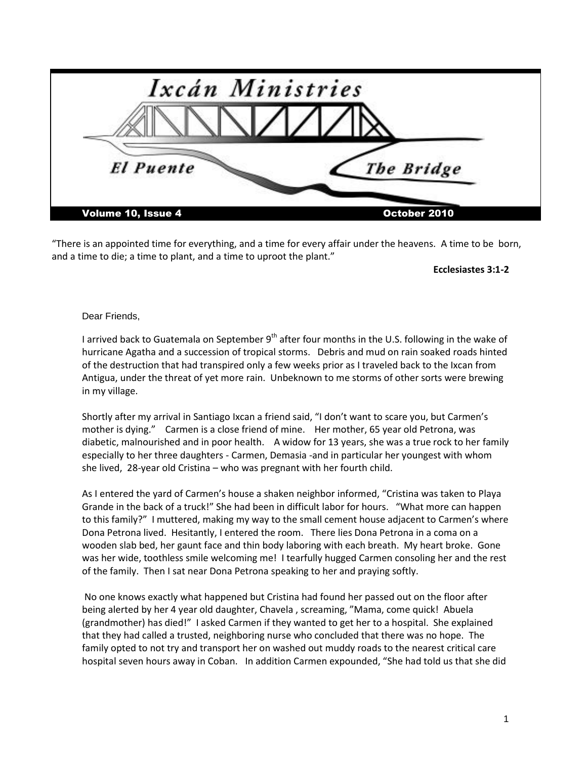| Ixcán Ministries          |              |
|---------------------------|--------------|
|                           |              |
| <b>El Puente</b>          | The Bridge   |
| <b>Volume 10, Issue 4</b> | October 2010 |

"There is an appointed time for everything, and a time for every affair under the heavens. A time to be born, and a time to die; a time to plant, and a time to uproot the plant."

**Ecclesiastes 3:1-2**

## Dear Friends,

I arrived back to Guatemala on September  $9<sup>th</sup>$  after four months in the U.S. following in the wake of hurricane Agatha and a succession of tropical storms. Debris and mud on rain soaked roads hinted of the destruction that had transpired only a few weeks prior as I traveled back to the Ixcan from Antigua, under the threat of yet more rain. Unbeknown to me storms of other sorts were brewing in my village.

Shortly after my arrival in Santiago Ixcan a friend said, "I don't want to scare you, but Carmen's mother is dying." Carmen is a close friend of mine. Her mother, 65 year old Petrona, was diabetic, malnourished and in poor health. A widow for 13 years, she was a true rock to her family especially to her three daughters - Carmen, Demasia -and in particular her youngest with whom she lived, 28-year old Cristina – who was pregnant with her fourth child.

As I entered the yard of Carmen's house a shaken neighbor informed, "Cristina was taken to Playa Grande in the back of a truck!" She had been in difficult labor for hours. "What more can happen to this family?" I muttered, making my way to the small cement house adjacent to Carmen's where Dona Petrona lived. Hesitantly, I entered the room. There lies Dona Petrona in a coma on a wooden slab bed, her gaunt face and thin body laboring with each breath. My heart broke. Gone was her wide, toothless smile welcoming me! I tearfully hugged Carmen consoling her and the rest of the family. Then I sat near Dona Petrona speaking to her and praying softly.

No one knows exactly what happened but Cristina had found her passed out on the floor after being alerted by her 4 year old daughter, Chavela , screaming, "Mama, come quick! Abuela (grandmother) has died!" I asked Carmen if they wanted to get her to a hospital. She explained that they had called a trusted, neighboring nurse who concluded that there was no hope. The family opted to not try and transport her on washed out muddy roads to the nearest critical care hospital seven hours away in Coban. In addition Carmen expounded, "She had told us that she did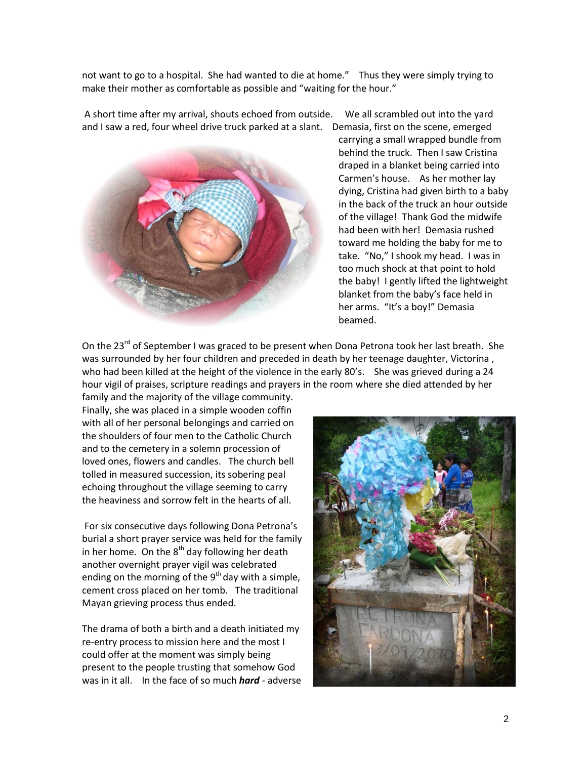not want to go to a hospital. She had wanted to die at home." Thus they were simply trying to make their mother as comfortable as possible and "waiting for the hour."

A short time after my arrival, shouts echoed from outside. We all scrambled out into the yard and I saw a red, four wheel drive truck parked at a slant. Demasia, first on the scene, emerged



carrying a small wrapped bundle from behind the truck. Then I saw Cristina draped in a blanket being carried into Carmen's house. As her mother lay dying, Cristina had given birth to a baby in the back of the truck an hour outside of the village! Thank God the midwife had been with her! Demasia rushed toward me holding the baby for me to take. "No," I shook my head. I was in too much shock at that point to hold the baby! I gently lifted the lightweight blanket from the baby's face held in her arms. "It's a boy!" Demasia beamed.

On the 23<sup>rd</sup> of September I was graced to be present when Dona Petrona took her last breath. She was surrounded by her four children and preceded in death by her teenage daughter, Victorina , who had been killed at the height of the violence in the early 80's. She was grieved during a 24 hour vigil of praises, scripture readings and prayers in the room where she died attended by her

family and the majority of the village community. Finally, she was placed in a simple wooden coffin with all of her personal belongings and carried on the shoulders of four men to the Catholic Church and to the cemetery in a solemn procession of loved ones, flowers and candles. The church bell tolled in measured succession, its sobering peal echoing throughout the village seeming to carry the heaviness and sorrow felt in the hearts of all.

For six consecutive days following Dona Petrona's burial a short prayer service was held for the family in her home. On the  $8<sup>th</sup>$  day following her death another overnight prayer vigil was celebrated ending on the morning of the  $9<sup>th</sup>$  day with a simple, cement cross placed on her tomb. The traditional Mayan grieving process thus ended.

The drama of both a birth and a death initiated my re-entry process to mission here and the most I could offer at the moment was simply being present to the people trusting that somehow God was in it all. In the face of so much *hard* - adverse

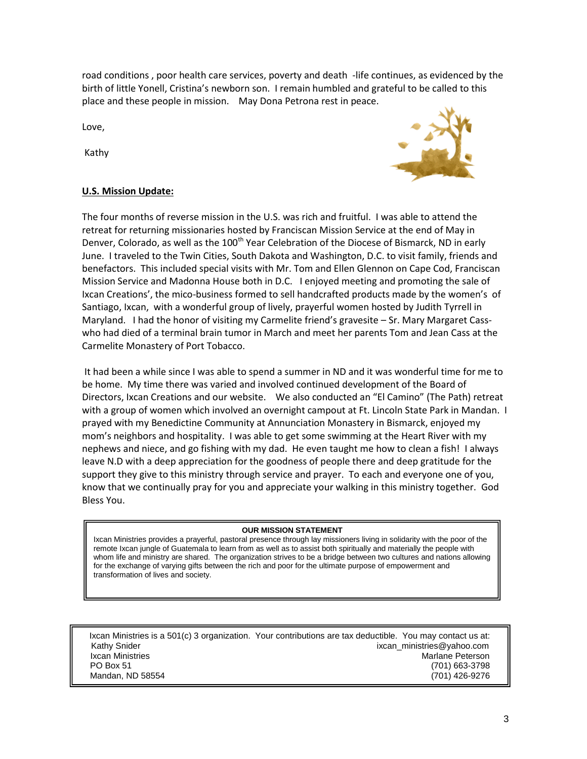road conditions , poor health care services, poverty and death -life continues, as evidenced by the birth of little Yonell, Cristina's newborn son. I remain humbled and grateful to be called to this place and these people in mission. May Dona Petrona rest in peace.

Love,

Kathy



## **U.S. Mission Update:**

The four months of reverse mission in the U.S. was rich and fruitful. I was able to attend the retreat for returning missionaries hosted by Franciscan Mission Service at the end of May in Denver, Colorado, as well as the 100<sup>th</sup> Year Celebration of the Diocese of Bismarck, ND in early June. I traveled to the Twin Cities, South Dakota and Washington, D.C. to visit family, friends and benefactors. This included special visits with Mr. Tom and Ellen Glennon on Cape Cod, Franciscan Mission Service and Madonna House both in D.C. I enjoyed meeting and promoting the sale of Ixcan Creations', the mico-business formed to sell handcrafted products made by the women's of Santiago, Ixcan, with a wonderful group of lively, prayerful women hosted by Judith Tyrrell in Maryland. I had the honor of visiting my Carmelite friend's gravesite – Sr. Mary Margaret Casswho had died of a terminal brain tumor in March and meet her parents Tom and Jean Cass at the Carmelite Monastery of Port Tobacco.

It had been a while since I was able to spend a summer in ND and it was wonderful time for me to be home. My time there was varied and involved continued development of the Board of Directors, Ixcan Creations and our website. We also conducted an "El Camino" (The Path) retreat with a group of women which involved an overnight campout at Ft. Lincoln State Park in Mandan. I prayed with my Benedictine Community at Annunciation Monastery in Bismarck, enjoyed my mom's neighbors and hospitality. I was able to get some swimming at the Heart River with my nephews and niece, and go fishing with my dad. He even taught me how to clean a fish! I always leave N.D with a deep appreciation for the goodness of people there and deep gratitude for the support they give to this ministry through service and prayer. To each and everyone one of you, know that we continually pray for you and appreciate your walking in this ministry together. God Bless You.

## **OUR MISSION STATEMENT**

Ixcan Ministries provides a prayerful, pastoral presence through lay missioners living in solidarity with the poor of the remote Ixcan jungle of Guatemala to learn from as well as to assist both spiritually and materially the people with whom life and ministry are shared. The organization strives to be a bridge between two cultures and nations allowing for the exchange of varying gifts between the rich and poor for the ultimate purpose of empowerment and transformation of lives and society.

| Ixcan Ministries is a 501(c) 3 organization. Your contributions are tax deductible. You may contact us at: |                            |
|------------------------------------------------------------------------------------------------------------|----------------------------|
| Kathy Snider                                                                                               | ixcan ministries@yahoo.com |
| Ixcan Ministries                                                                                           | Marlane Peterson           |
| PO Box 51                                                                                                  | (701) 663-3798             |
| Mandan, ND 58554                                                                                           | (701) 426-9276             |